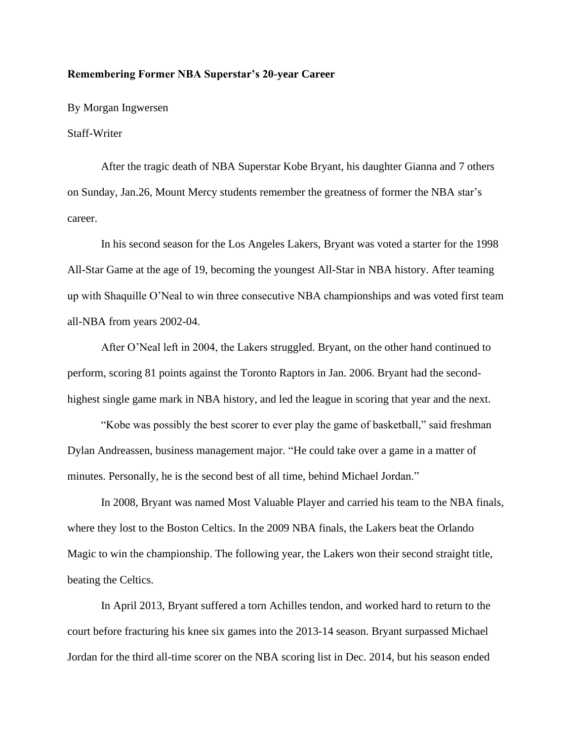## **Remembering Former NBA Superstar's 20-year Career**

By Morgan Ingwersen

## Staff-Writer

After the tragic death of NBA Superstar Kobe Bryant, his daughter Gianna and 7 others on Sunday, Jan.26, Mount Mercy students remember the greatness of former the NBA star's career.

In his second season for the Los Angeles Lakers, Bryant was voted a starter for the 1998 All-Star Game at the age of 19, becoming the youngest All-Star in NBA history. After teaming up with Shaquille O'Neal to win three consecutive NBA championships and was voted first team all-NBA from years 2002-04.

After O'Neal left in 2004, the Lakers struggled. Bryant, on the other hand continued to perform, scoring 81 points against the Toronto Raptors in Jan. 2006. Bryant had the secondhighest single game mark in NBA history, and led the league in scoring that year and the next.

"Kobe was possibly the best scorer to ever play the game of basketball," said freshman Dylan Andreassen, business management major. "He could take over a game in a matter of minutes. Personally, he is the second best of all time, behind Michael Jordan."

In 2008, Bryant was named Most Valuable Player and carried his team to the NBA finals, where they lost to the Boston Celtics. In the 2009 NBA finals, the Lakers beat the Orlando Magic to win the championship. The following year, the Lakers won their second straight title, beating the Celtics.

In April 2013, Bryant suffered a torn Achilles tendon, and worked hard to return to the court before fracturing his knee six games into the 2013-14 season. Bryant surpassed Michael Jordan for the third all-time scorer on the NBA scoring list in Dec. 2014, but his season ended